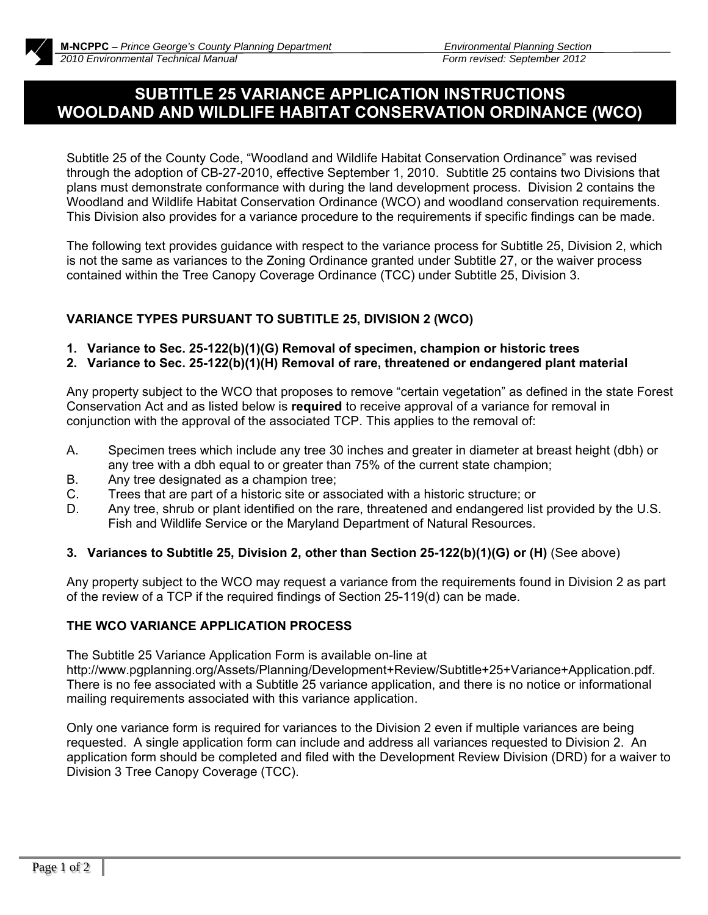## **SUBTITLE 25 VARIANCE APPLICATION INSTRUCTIONS WOOLDAND AND WILDLIFE HABITAT CONSERVATION ORDINANCE (WCO)**

Subtitle 25 of the County Code, "Woodland and Wildlife Habitat Conservation Ordinance" was revised through the adoption of CB-27-2010, effective September 1, 2010. Subtitle 25 contains two Divisions that plans must demonstrate conformance with during the land development process. Division 2 contains the Woodland and Wildlife Habitat Conservation Ordinance (WCO) and woodland conservation requirements. This Division also provides for a variance procedure to the requirements if specific findings can be made.

The following text provides guidance with respect to the variance process for Subtitle 25, Division 2, which is not the same as variances to the Zoning Ordinance granted under Subtitle 27, or the waiver process contained within the Tree Canopy Coverage Ordinance (TCC) under Subtitle 25, Division 3.

## **VARIANCE TYPES PURSUANT TO SUBTITLE 25, DIVISION 2 (WCO)**

- **1. Variance to Sec. 25-122(b)(1)(G) Removal of specimen, champion or historic trees**
- **2. Variance to Sec. 25-122(b)(1)(H) Removal of rare, threatened or endangered plant material**

Any property subject to the WCO that proposes to remove "certain vegetation" as defined in the state Forest Conservation Act and as listed below is **required** to receive approval of a variance for removal in conjunction with the approval of the associated TCP. This applies to the removal of:

- A. Specimen trees which include any tree 30 inches and greater in diameter at breast height (dbh) or any tree with a dbh equal to or greater than 75% of the current state champion;
- B. Any tree designated as a champion tree;
- C. Trees that are part of a historic site or associated with a historic structure; or
- D. Any tree, shrub or plant identified on the rare, threatened and endangered list provided by the U.S. Fish and Wildlife Service or the Maryland Department of Natural Resources.

### **3. Variances to Subtitle 25, Division 2, other than Section 25-122(b)(1)(G) or (H)** (See above)

Any property subject to the WCO may request a variance from the requirements found in Division 2 as part of the review of a TCP if the required findings of Section 25-119(d) can be made.

### **THE WCO VARIANCE APPLICATION PROCESS**

The Subtitle 25 Variance Application Form is available on-line at

http://www.pgplanning.org/Assets/Planning/Development+Review/Subtitle+25+Variance+Application.pdf. There is no fee associated with a Subtitle 25 variance application, and there is no notice or informational mailing requirements associated with this variance application.

Only one variance form is required for variances to the Division 2 even if multiple variances are being requested. A single application form can include and address all variances requested to Division 2. An application form should be completed and filed with the Development Review Division (DRD) for a waiver to Division 3 Tree Canopy Coverage (TCC).